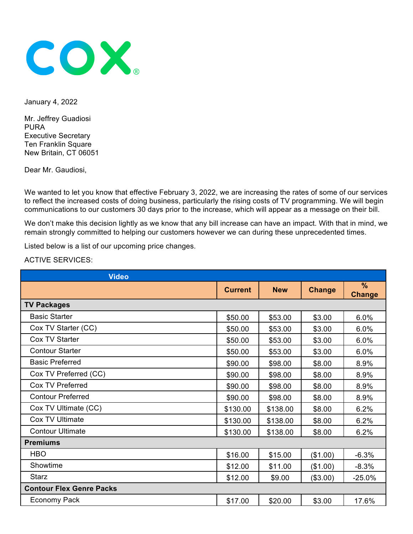

January 4, 2022

Mr. Jeffrey Guadiosi PURA Executive Secretary Ten Franklin Square New Britain, CT 06051

Dear Mr. Gaudiosi,

We wanted to let you know that effective February 3, 2022, we are increasing the rates of some of our services to reflect the increased costs of doing business, particularly the rising costs of TV programming. We will begin communications to our customers 30 days prior to the increase, which will appear as a message on their bill.

We don't make this decision lightly as we know that any bill increase can have an impact. With that in mind, we remain strongly committed to helping our customers however we can during these unprecedented times.

Listed below is a list of our upcoming price changes.

ACTIVE SERVICES:

| <b>Video</b>                    |                |            |               |                       |
|---------------------------------|----------------|------------|---------------|-----------------------|
|                                 | <b>Current</b> | <b>New</b> | <b>Change</b> | $\%$<br><b>Change</b> |
| <b>TV Packages</b>              |                |            |               |                       |
| <b>Basic Starter</b>            | \$50.00        | \$53.00    | \$3.00        | 6.0%                  |
| Cox TV Starter (CC)             | \$50.00        | \$53.00    | \$3.00        | 6.0%                  |
| Cox TV Starter                  | \$50.00        | \$53.00    | \$3.00        | 6.0%                  |
| <b>Contour Starter</b>          | \$50.00        | \$53.00    | \$3.00        | 6.0%                  |
| <b>Basic Preferred</b>          | \$90.00        | \$98.00    | \$8.00        | 8.9%                  |
| Cox TV Preferred (CC)           | \$90.00        | \$98.00    | \$8.00        | 8.9%                  |
| Cox TV Preferred                | \$90.00        | \$98.00    | \$8.00        | 8.9%                  |
| <b>Contour Preferred</b>        | \$90.00        | \$98.00    | \$8.00        | 8.9%                  |
| Cox TV Ultimate (CC)            | \$130.00       | \$138.00   | \$8.00        | 6.2%                  |
| Cox TV Ultimate                 | \$130.00       | \$138.00   | \$8.00        | 6.2%                  |
| <b>Contour Ultimate</b>         | \$130.00       | \$138.00   | \$8.00        | 6.2%                  |
| <b>Premiums</b>                 |                |            |               |                       |
| <b>HBO</b>                      | \$16.00        | \$15.00    | (\$1.00)      | $-6.3%$               |
| Showtime                        | \$12.00        | \$11.00    | (\$1.00)      | $-8.3%$               |
| <b>Starz</b>                    | \$12.00        | \$9.00     | (\$3.00)      | $-25.0%$              |
| <b>Contour Flex Genre Packs</b> |                |            |               |                       |
| Economy Pack                    | \$17.00        | \$20.00    | \$3.00        | 17.6%                 |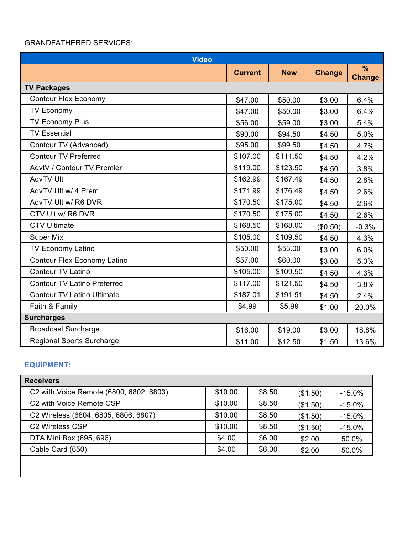## GRANDFATHERED SERVICES:

| <b>Video</b>                       |                |            |               |                                |
|------------------------------------|----------------|------------|---------------|--------------------------------|
|                                    | <b>Current</b> | <b>New</b> | <b>Change</b> | $\frac{9}{6}$<br><b>Change</b> |
| <b>TV Packages</b>                 |                |            |               |                                |
| <b>Contour Flex Economy</b>        | \$47.00        | \$50.00    | \$3.00        | 6.4%                           |
| <b>TV Economy</b>                  | \$47.00        | \$50.00    | \$3.00        | 6.4%                           |
| <b>TV Economy Plus</b>             | \$56.00        | \$59.00    | \$3.00        | 5.4%                           |
| <b>TV Essential</b>                | \$90.00        | \$94.50    | \$4.50        | 5.0%                           |
| Contour TV (Advanced)              | \$95.00        | \$99.50    | \$4.50        | 4.7%                           |
| <b>Contour TV Preferred</b>        | \$107.00       | \$111.50   | \$4.50        | 4.2%                           |
| AdvtV / Contour TV Premier         | \$119.00       | \$123.50   | \$4.50        | 3.8%                           |
| <b>AdvTV Ult</b>                   | \$162.99       | \$167.49   | \$4.50        | 2.8%                           |
| AdvTV Ult w/ 4 Prem                | \$171.99       | \$176.49   | \$4.50        | 2.6%                           |
| AdvTV Ult w/ R6 DVR                | \$170.50       | \$175.00   | \$4.50        | 2.6%                           |
| CTV Ult w/ R6 DVR                  | \$170.50       | \$175.00   | \$4.50        | 2.6%                           |
| <b>CTV Ultimate</b>                | \$168.50       | \$168.00   | (\$0.50)      | $-0.3%$                        |
| <b>Super Mix</b>                   | \$105.00       | \$109.50   | \$4.50        | 4.3%                           |
| TV Economy Latino                  | \$50.00        | \$53.00    | \$3.00        | 6.0%                           |
| Contour Flex Economy Latino        | \$57.00        | \$60.00    | \$3.00        | 5.3%                           |
| Contour TV Latino                  | \$105.00       | \$109.50   | \$4.50        | 4.3%                           |
| <b>Contour TV Latino Preferred</b> | \$117.00       | \$121.50   | \$4.50        | 3.8%                           |
| <b>Contour TV Latino Ultimate</b>  | \$187.01       | \$191.51   | \$4.50        | 2.4%                           |
| Faith & Family                     | \$4.99         | \$5.99     | \$1.00        | 20.0%                          |
| <b>Surcharges</b>                  |                |            |               |                                |
| <b>Broadcast Surcharge</b>         | \$16.00        | \$19.00    | \$3.00        | 18.8%                          |
| <b>Regional Sports Surcharge</b>   | \$11.00        | \$12.50    | \$1.50        | 13.6%                          |

## **EQUIPMENT:**

| <b>Receivers</b>                        |         |        |          |          |
|-----------------------------------------|---------|--------|----------|----------|
| C2 with Voice Remote (6800, 6802, 6803) | \$10.00 | \$8.50 | (\$1.50) | $-15.0%$ |
| C <sub>2</sub> with Voice Remote CSP    | \$10.00 | \$8.50 | (\$1.50) | $-15.0%$ |
| C2 Wireless (6804, 6805, 6806, 6807)    | \$10.00 | \$8.50 | (\$1.50) | $-15.0%$ |
| C <sub>2</sub> Wireless C <sub>SP</sub> | \$10.00 | \$8.50 | (\$1.50) | $-15.0%$ |
| DTA Mini Box (695, 696)                 | \$4.00  | \$6.00 | \$2.00   | 50.0%    |
| Cable Card (650)                        | \$4.00  | \$6.00 | \$2.00   | 50.0%    |